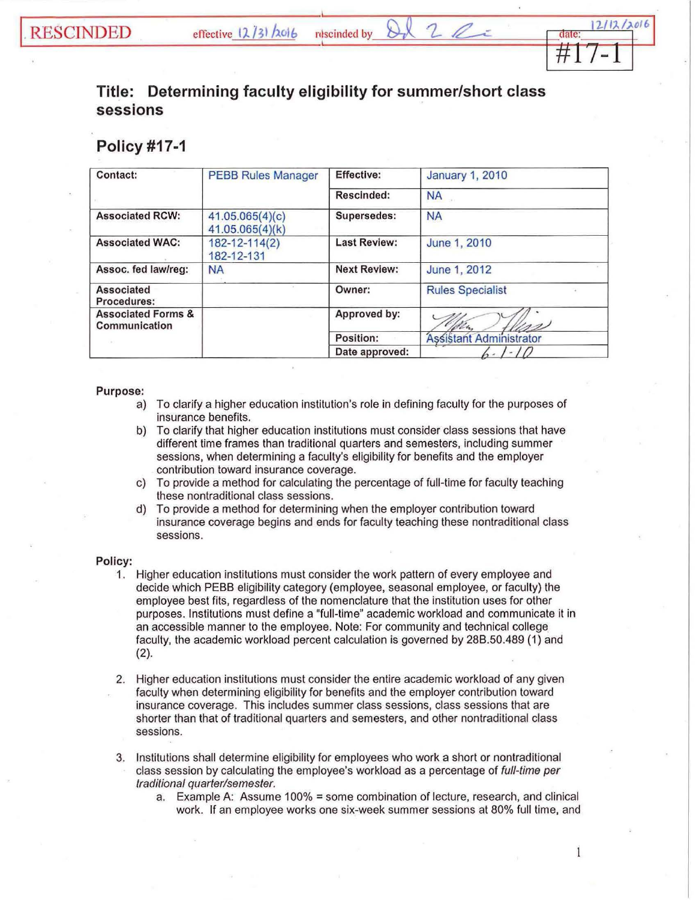## **Title: Determining faculty eligibility for summer/short class sessions**

rdscinded by

## **Policy #17-1**

| Contact:                                       | <b>PEBB Rules Manager</b>          | <b>Effective:</b>   | <b>January 1, 2010</b>  |
|------------------------------------------------|------------------------------------|---------------------|-------------------------|
|                                                |                                    | Rescinded:          | <b>NA</b>               |
| <b>Associated RCW:</b>                         | 41.05.065(4)(c)<br>41.05.065(4)(k) | Supersedes:         | <b>NA</b>               |
| <b>Associated WAC:</b>                         | 182-12-114(2)<br>182-12-131        | <b>Last Review:</b> | June 1, 2010            |
| Assoc. fed law/reg:                            | <b>NA</b>                          | <b>Next Review:</b> | June 1, 2012            |
| <b>Associated</b><br>Procedures:               |                                    | Owner:              | <b>Rules Specialist</b> |
| <b>Associated Forms &amp;</b><br>Communication |                                    | Approved by:        | 18cm<br>クク              |
|                                                |                                    | Position:           | Assistant Administrator |
|                                                |                                    | Date approved:      |                         |

## Purpose:

- a) To clarify a higher education institution's role in defining faculty for the purposes of insurance benefits.
- b) To clarify that higher education institutions must consider class sessions that have different time frames than traditional quarters and semesters, including summer sessions, when determining a faculty's eligibility for benefits and the employer contribution toward insurance coverage.
- c) To provide a method for calculating the percentage of full-time for faculty teaching these nontraditional class sessions.
- d) To provide a method for determining when the employer contribution toward insurance coverage begins and ends for faculty teaching these nontraditional class sessions.

## Policy:

- 1. Higher education institutions must consider the work pattern of every employee and decide which PEBB eligibility category (employee, seasonal employee, or faculty) the employee best fits, regardless of the nomenclature that the institution uses for other purposes. Institutions must define a "full-time" academic workload and communicate it in an accessible manner to the employee. Note: For community and technical college faculty, the academic workload percent calculation is governed by 288.50.489 (1) and (2).
- 2. Higher education institutions must consider the entire academic workload of any given faculty when determining eligibility for benefits and the employer contribution toward insurance coverage. This includes summer class sessions, class sessions that are shorter than that of traditional quarters and semesters, and other nontraditional class sessions.
- 3. Institutions shall determine eligibility for employees who work a short or nontraditional class session by calculating the employee's workload as a percentage of full-time per traditional quarter/semester.
	- a. Example A: Assume 100% = some combination of lecture, research, and clinical work. If an employee works one six-week summer sessions at 80% full time, and

 $\mathbf{1}$